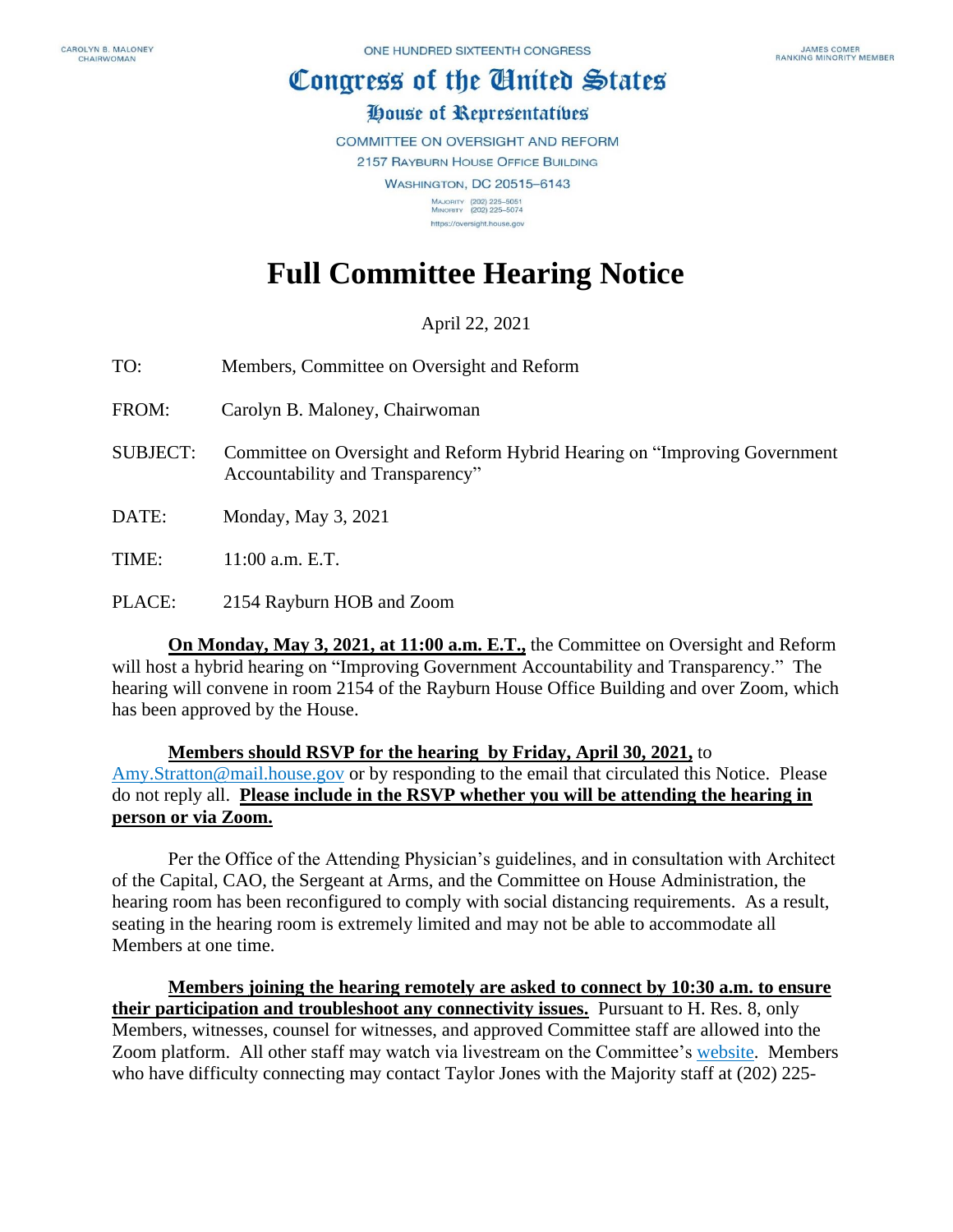## Congress of the Ginited States

## House of Representatives

COMMITTEE ON OVERSIGHT AND REFORM

2157 RAYBURN HOUSE OFFICE BUILDING

**WASHINGTON, DC 20515-6143** MAJORITY (202) 225-5051<br>MINORITY (202) 225-5074 https://oversight.house.gov

## **Full Committee Hearing Notice**

April 22, 2021

- TO: Members, Committee on Oversight and Reform
- FROM: Carolyn B. Maloney, Chairwoman
- SUBJECT: Committee on Oversight and Reform Hybrid Hearing on "Improving Government Accountability and Transparency"
- DATE: Monday, May 3, 2021

TIME: 11:00 a.m. E.T.

PLACE: 2154 Rayburn HOB and Zoom

**On Monday, May 3, 2021, at 11:00 a.m. E.T.,** the Committee on Oversight and Reform will host a hybrid hearing on "Improving Government Accountability and Transparency." The hearing will convene in room 2154 of the Rayburn House Office Building and over Zoom, which has been approved by the House.

**Members should RSVP for the hearing by Friday, April 30, 2021,** to [Amy.Stratton@mail.house.gov](mailto:Amy.Stratton@mail.house.gov) or by responding to the email that circulated this Notice. Please do not reply all. **Please include in the RSVP whether you will be attending the hearing in person or via Zoom.** 

Per the Office of the Attending Physician's guidelines, and in consultation with Architect of the Capital, CAO, the Sergeant at Arms, and the Committee on House Administration, the hearing room has been reconfigured to comply with social distancing requirements. As a result, seating in the hearing room is extremely limited and may not be able to accommodate all Members at one time.

**Members joining the hearing remotely are asked to connect by 10:30 a.m. to ensure their participation and troubleshoot any connectivity issues.** Pursuant to H. Res. 8, only Members, witnesses, counsel for witnesses, and approved Committee staff are allowed into the Zoom platform. All other staff may watch via livestream on the Committee's [website.](https://oversight.house.gov/legislation/hearings) Members who have difficulty connecting may contact Taylor Jones with the Majority staff at (202) 225